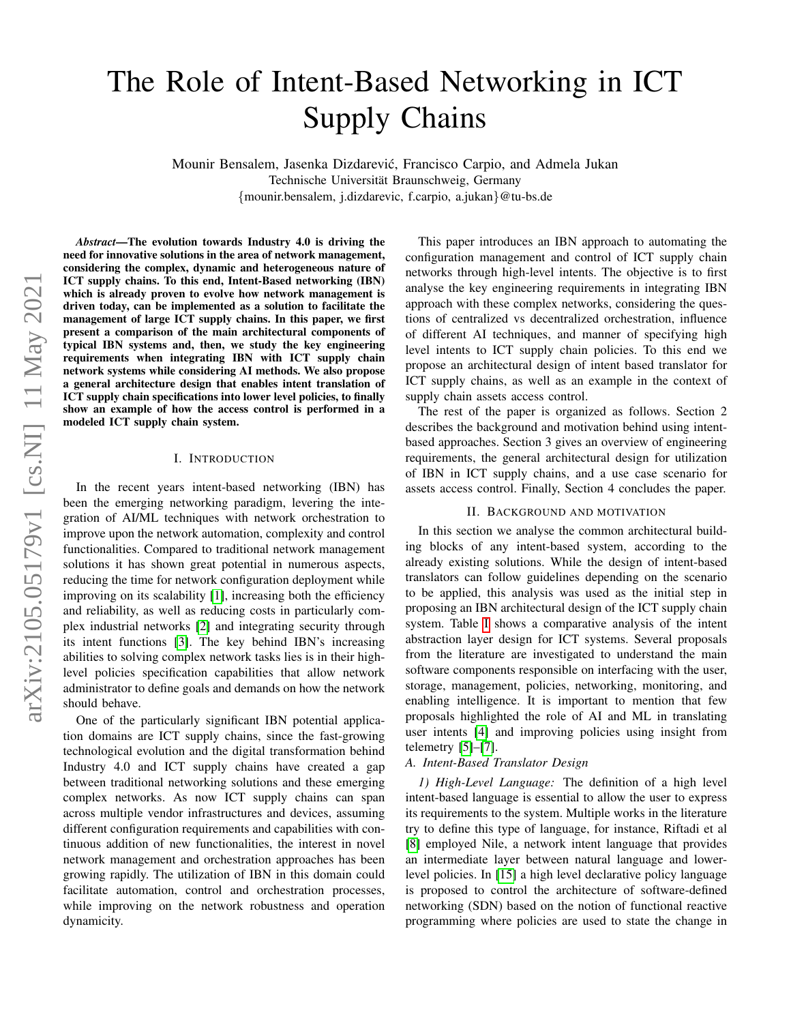# The Role of Intent-Based Networking in ICT Supply Chains

Mounir Bensalem, Jasenka Dizdarevic, Francisco Carpio, and Admela Jukan ´ Technische Universität Braunschweig, Germany {mounir.bensalem, j.dizdarevic, f.carpio, a.jukan}@tu-bs.de

*Abstract*—The evolution towards Industry 4.0 is driving the need for innovative solutions in the area of network management, considering the complex, dynamic and heterogeneous nature of ICT supply chains. To this end, Intent-Based networking (IBN) which is already proven to evolve how network management is driven today, can be implemented as a solution to facilitate the management of large ICT supply chains. In this paper, we first present a comparison of the main architectural components of typical IBN systems and, then, we study the key engineering requirements when integrating IBN with ICT supply chain network systems while considering AI methods. We also propose a general architecture design that enables intent translation of ICT supply chain specifications into lower level policies, to finally show an example of how the access control is performed in a modeled ICT supply chain system.

#### I. INTRODUCTION

In the recent years intent-based networking (IBN) has been the emerging networking paradigm, levering the integration of AI/ML techniques with network orchestration to improve upon the network automation, complexity and control functionalities. Compared to traditional network management solutions it has shown great potential in numerous aspects, reducing the time for network configuration deployment while improving on its scalability [\[1\]](#page-5-0), increasing both the efficiency and reliability, as well as reducing costs in particularly complex industrial networks [\[2\]](#page-5-1) and integrating security through its intent functions [\[3\]](#page-5-2). The key behind IBN's increasing abilities to solving complex network tasks lies is in their highlevel policies specification capabilities that allow network administrator to define goals and demands on how the network should behave.

One of the particularly significant IBN potential application domains are ICT supply chains, since the fast-growing technological evolution and the digital transformation behind Industry 4.0 and ICT supply chains have created a gap between traditional networking solutions and these emerging complex networks. As now ICT supply chains can span across multiple vendor infrastructures and devices, assuming different configuration requirements and capabilities with continuous addition of new functionalities, the interest in novel network management and orchestration approaches has been growing rapidly. The utilization of IBN in this domain could facilitate automation, control and orchestration processes, while improving on the network robustness and operation dynamicity.

This paper introduces an IBN approach to automating the configuration management and control of ICT supply chain networks through high-level intents. The objective is to first analyse the key engineering requirements in integrating IBN approach with these complex networks, considering the questions of centralized vs decentralized orchestration, influence of different AI techniques, and manner of specifying high level intents to ICT supply chain policies. To this end we propose an architectural design of intent based translator for ICT supply chains, as well as an example in the context of supply chain assets access control.

The rest of the paper is organized as follows. Section 2 describes the background and motivation behind using intentbased approaches. Section 3 gives an overview of engineering requirements, the general architectural design for utilization of IBN in ICT supply chains, and a use case scenario for assets access control. Finally, Section 4 concludes the paper.

# II. BACKGROUND AND MOTIVATION

In this section we analyse the common architectural building blocks of any intent-based system, according to the already existing solutions. While the design of intent-based translators can follow guidelines depending on the scenario to be applied, this analysis was used as the initial step in proposing an IBN architectural design of the ICT supply chain system. Table [I](#page-1-0) shows a comparative analysis of the intent abstraction layer design for ICT systems. Several proposals from the literature are investigated to understand the main software components responsible on interfacing with the user, storage, management, policies, networking, monitoring, and enabling intelligence. It is important to mention that few proposals highlighted the role of AI and ML in translating user intents [\[4\]](#page-5-3) and improving policies using insight from telemetry [\[5\]](#page-5-4)–[\[7\]](#page-5-5).

#### *A. Intent-Based Translator Design*

*1) High-Level Language:* The definition of a high level intent-based language is essential to allow the user to express its requirements to the system. Multiple works in the literature try to define this type of language, for instance, Riftadi et al [\[8\]](#page-5-6) employed Nile, a network intent language that provides an intermediate layer between natural language and lowerlevel policies. In [\[15\]](#page-5-7) a high level declarative policy language is proposed to control the architecture of software-defined networking (SDN) based on the notion of functional reactive programming where policies are used to state the change in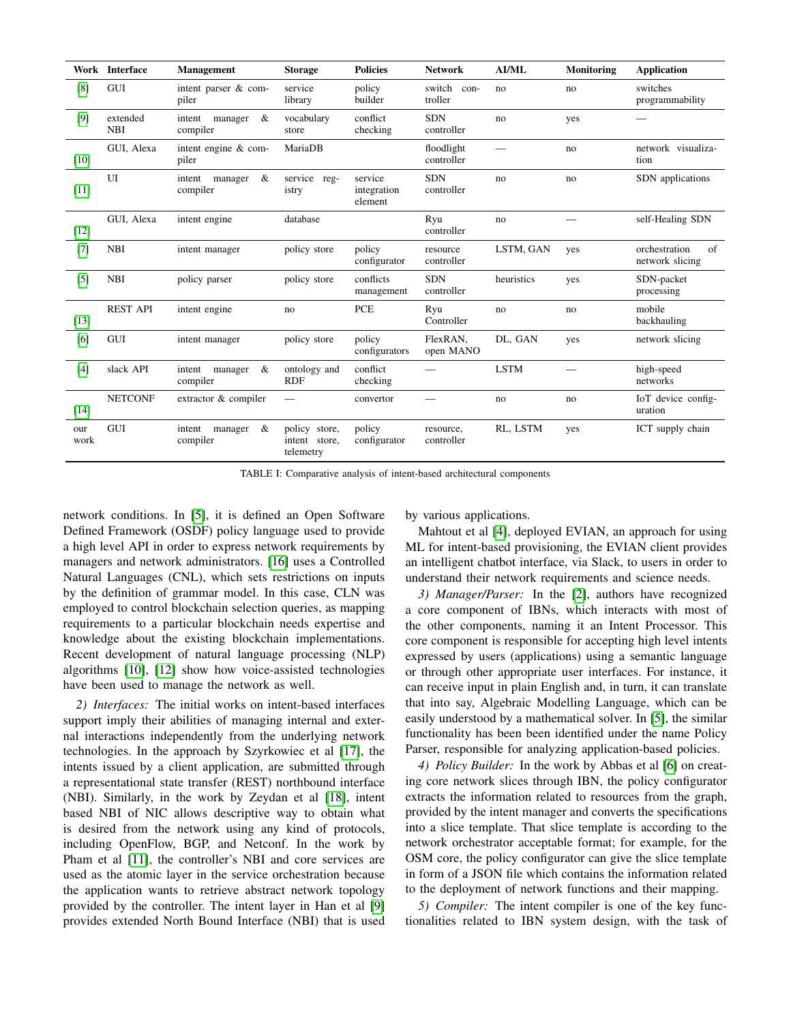<span id="page-1-0"></span>

|             | Work Interface         | <b>Management</b>                  | <b>Storage</b>                              | <b>Policies</b>                   | <b>Network</b>            | <b>AI/ML</b> | Monitoring | <b>Application</b>                     |
|-------------|------------------------|------------------------------------|---------------------------------------------|-----------------------------------|---------------------------|--------------|------------|----------------------------------------|
| [8]         | GUI                    | intent parser & com-<br>piler      | service<br>library                          | policy<br>builder                 | switch<br>con-<br>troller | no           | no         | switches<br>programmability            |
| [9]         | extended<br><b>NBI</b> | &<br>intent<br>manager<br>compiler | vocabulary<br>store                         | conflict<br>checking              | <b>SDN</b><br>controller  | no           | yes        |                                        |
| [10]        | GUI, Alexa             | intent engine & com-<br>piler      | MariaDB                                     |                                   | floodlight<br>controller  |              | no         | network visualiza-<br>tion             |
| $[11]$      | UI                     | &<br>intent<br>manager<br>compiler | service reg-<br>istry                       | service<br>integration<br>element | <b>SDN</b><br>controller  | no           | no         | SDN applications                       |
| $[12]$      | GUI, Alexa             | intent engine                      | database                                    |                                   | Ryu<br>controller         | no           |            | self-Healing SDN                       |
| $[7]$       | <b>NBI</b>             | intent manager                     | policy store                                | policy<br>configurator            | resource<br>controller    | LSTM, GAN    | yes        | orchestration<br>of<br>network slicing |
| $[5]$       | <b>NBI</b>             | policy parser                      | policy store                                | conflicts<br>management           | <b>SDN</b><br>controller  | heuristics   | yes        | SDN-packet<br>processing               |
| [13]        | <b>REST API</b>        | intent engine                      | no                                          | <b>PCE</b>                        | Ryu<br>Controller         | no           | no         | mobile<br>backhauling                  |
| [6]         | GUI                    | intent manager                     | policy store                                | policy<br>configurators           | FlexRAN,<br>open MANO     | DL, GAN      | yes        | network slicing                        |
| $[4]$       | slack API              | intent<br>manager<br>&<br>compiler | ontology and<br><b>RDF</b>                  | conflict<br>checking              |                           | <b>LSTM</b>  |            | high-speed<br>networks                 |
| $[14]$      | <b>NETCONF</b>         | extractor & compiler               |                                             | convertor                         |                           | no           | no         | IoT device config-<br>uration          |
| our<br>work | GUI                    | &<br>intent<br>manager<br>compiler | policy store,<br>intent store,<br>telemetry | policy<br>configurator            | resource,<br>controller   | RL, LSTM     | yes        | ICT supply chain                       |

TABLE I: Comparative analysis of intent-based architectural components

network conditions. In [\[5\]](#page-5-4), it is defined an Open Software Defined Framework (OSDF) policy language used to provide a high level API in order to express network requirements by managers and network administrators. [\[16\]](#page-5-15) uses a Controlled Natural Languages (CNL), which sets restrictions on inputs by the definition of grammar model. In this case, CLN was employed to control blockchain selection queries, as mapping requirements to a particular blockchain needs expertise and knowledge about the existing blockchain implementations. Recent development of natural language processing (NLP) algorithms [\[10\]](#page-5-9), [\[12\]](#page-5-11) show how voice-assisted technologies have been used to manage the network as well.

*2) Interfaces:* The initial works on intent-based interfaces support imply their abilities of managing internal and external interactions independently from the underlying network technologies. In the approach by Szyrkowiec et al [\[17\]](#page-5-16), the intents issued by a client application, are submitted through a representational state transfer (REST) northbound interface (NBI). Similarly, in the work by Zeydan et al [\[18\]](#page-5-17), intent based NBI of NIC allows descriptive way to obtain what is desired from the network using any kind of protocols, including OpenFlow, BGP, and Netconf. In the work by Pham et al [\[11\]](#page-5-10), the controller's NBI and core services are used as the atomic layer in the service orchestration because the application wants to retrieve abstract network topology provided by the controller. The intent layer in Han et al [\[9\]](#page-5-8) provides extended North Bound Interface (NBI) that is used by various applications.

Mahtout et al [\[4\]](#page-5-3), deployed EVIAN, an approach for using ML for intent-based provisioning, the EVIAN client provides an intelligent chatbot interface, via Slack, to users in order to understand their network requirements and science needs.

*3) Manager/Parser:* In the [\[2\]](#page-5-1), authors have recognized a core component of IBNs, which interacts with most of the other components, naming it an Intent Processor. This core component is responsible for accepting high level intents expressed by users (applications) using a semantic language or through other appropriate user interfaces. For instance, it can receive input in plain English and, in turn, it can translate that into say, Algebraic Modelling Language, which can be easily understood by a mathematical solver. In [\[5\]](#page-5-4), the similar functionality has been been identified under the name Policy Parser, responsible for analyzing application-based policies.

*4) Policy Builder:* In the work by Abbas et al [\[6\]](#page-5-13) on creating core network slices through IBN, the policy configurator extracts the information related to resources from the graph, provided by the intent manager and converts the specifications into a slice template. That slice template is according to the network orchestrator acceptable format; for example, for the OSM core, the policy configurator can give the slice template in form of a JSON file which contains the information related to the deployment of network functions and their mapping.

*5) Compiler:* The intent compiler is one of the key functionalities related to IBN system design, with the task of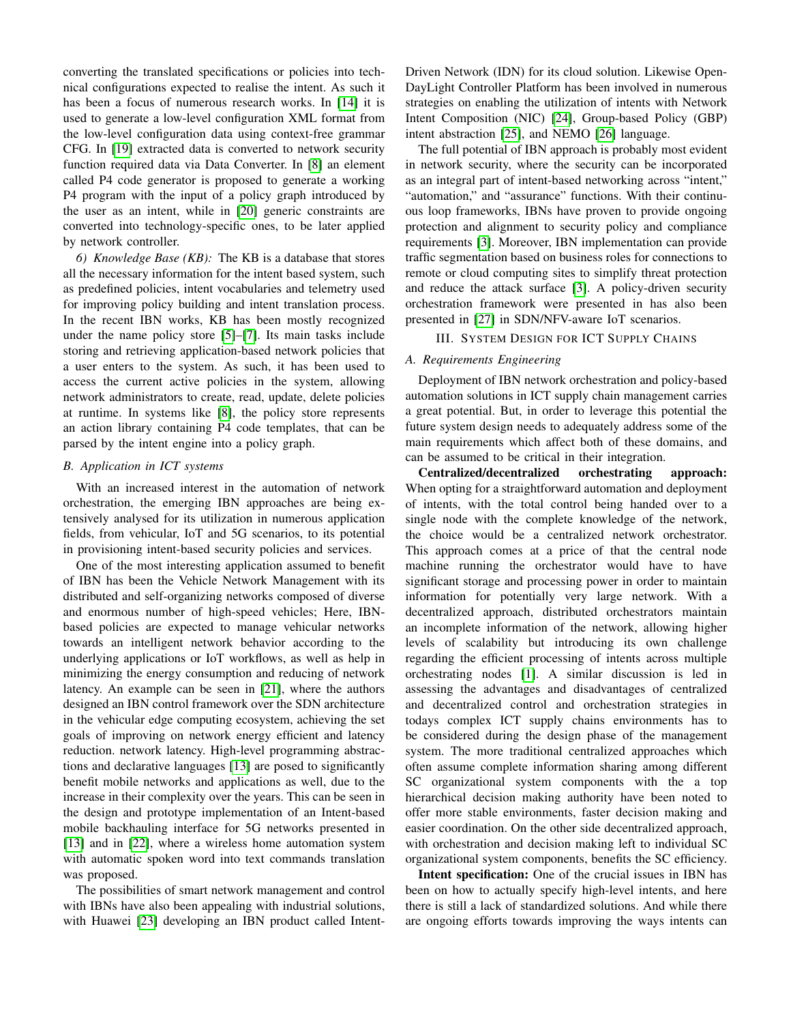converting the translated specifications or policies into technical configurations expected to realise the intent. As such it has been a focus of numerous research works. In [\[14\]](#page-5-14) it is used to generate a low-level configuration XML format from the low-level configuration data using context-free grammar CFG. In [\[19\]](#page-5-18) extracted data is converted to network security function required data via Data Converter. In [\[8\]](#page-5-6) an element called P4 code generator is proposed to generate a working P4 program with the input of a policy graph introduced by the user as an intent, while in [\[20\]](#page-5-19) generic constraints are converted into technology-specific ones, to be later applied by network controller.

*6) Knowledge Base (KB):* The KB is a database that stores all the necessary information for the intent based system, such as predefined policies, intent vocabularies and telemetry used for improving policy building and intent translation process. In the recent IBN works, KB has been mostly recognized under the name policy store [\[5\]](#page-5-4)–[\[7\]](#page-5-5). Its main tasks include storing and retrieving application-based network policies that a user enters to the system. As such, it has been used to access the current active policies in the system, allowing network administrators to create, read, update, delete policies at runtime. In systems like [\[8\]](#page-5-6), the policy store represents an action library containing P4 code templates, that can be parsed by the intent engine into a policy graph.

#### *B. Application in ICT systems*

With an increased interest in the automation of network orchestration, the emerging IBN approaches are being extensively analysed for its utilization in numerous application fields, from vehicular, IoT and 5G scenarios, to its potential in provisioning intent-based security policies and services.

One of the most interesting application assumed to benefit of IBN has been the Vehicle Network Management with its distributed and self-organizing networks composed of diverse and enormous number of high-speed vehicles; Here, IBNbased policies are expected to manage vehicular networks towards an intelligent network behavior according to the underlying applications or IoT workflows, as well as help in minimizing the energy consumption and reducing of network latency. An example can be seen in [\[21\]](#page-5-20), where the authors designed an IBN control framework over the SDN architecture in the vehicular edge computing ecosystem, achieving the set goals of improving on network energy efficient and latency reduction. network latency. High-level programming abstractions and declarative languages [\[13\]](#page-5-12) are posed to significantly benefit mobile networks and applications as well, due to the increase in their complexity over the years. This can be seen in the design and prototype implementation of an Intent-based mobile backhauling interface for 5G networks presented in [\[13\]](#page-5-12) and in [\[22\]](#page-5-21), where a wireless home automation system with automatic spoken word into text commands translation was proposed.

The possibilities of smart network management and control with IBNs have also been appealing with industrial solutions, with Huawei [\[23\]](#page-5-22) developing an IBN product called Intent-

Driven Network (IDN) for its cloud solution. Likewise Open-DayLight Controller Platform has been involved in numerous strategies on enabling the utilization of intents with Network Intent Composition (NIC) [\[24\]](#page-5-23), Group-based Policy (GBP) intent abstraction [\[25\]](#page-5-24), and NEMO [\[26\]](#page-5-25) language.

The full potential of IBN approach is probably most evident in network security, where the security can be incorporated as an integral part of intent-based networking across "intent," "automation," and "assurance" functions. With their continuous loop frameworks, IBNs have proven to provide ongoing protection and alignment to security policy and compliance requirements [\[3\]](#page-5-2). Moreover, IBN implementation can provide traffic segmentation based on business roles for connections to remote or cloud computing sites to simplify threat protection and reduce the attack surface [\[3\]](#page-5-2). A policy-driven security orchestration framework were presented in has also been presented in [\[27\]](#page-5-26) in SDN/NFV-aware IoT scenarios.

#### III. SYSTEM DESIGN FOR ICT SUPPLY CHAINS

#### *A. Requirements Engineering*

Deployment of IBN network orchestration and policy-based automation solutions in ICT supply chain management carries a great potential. But, in order to leverage this potential the future system design needs to adequately address some of the main requirements which affect both of these domains, and can be assumed to be critical in their integration.

Centralized/decentralized orchestrating approach: When opting for a straightforward automation and deployment of intents, with the total control being handed over to a single node with the complete knowledge of the network, the choice would be a centralized network orchestrator. This approach comes at a price of that the central node machine running the orchestrator would have to have significant storage and processing power in order to maintain information for potentially very large network. With a decentralized approach, distributed orchestrators maintain an incomplete information of the network, allowing higher levels of scalability but introducing its own challenge regarding the efficient processing of intents across multiple orchestrating nodes [\[1\]](#page-5-0). A similar discussion is led in assessing the advantages and disadvantages of centralized and decentralized control and orchestration strategies in todays complex ICT supply chains environments has to be considered during the design phase of the management system. The more traditional centralized approaches which often assume complete information sharing among different SC organizational system components with the a top hierarchical decision making authority have been noted to offer more stable environments, faster decision making and easier coordination. On the other side decentralized approach, with orchestration and decision making left to individual SC organizational system components, benefits the SC efficiency.

Intent specification: One of the crucial issues in IBN has been on how to actually specify high-level intents, and here there is still a lack of standardized solutions. And while there are ongoing efforts towards improving the ways intents can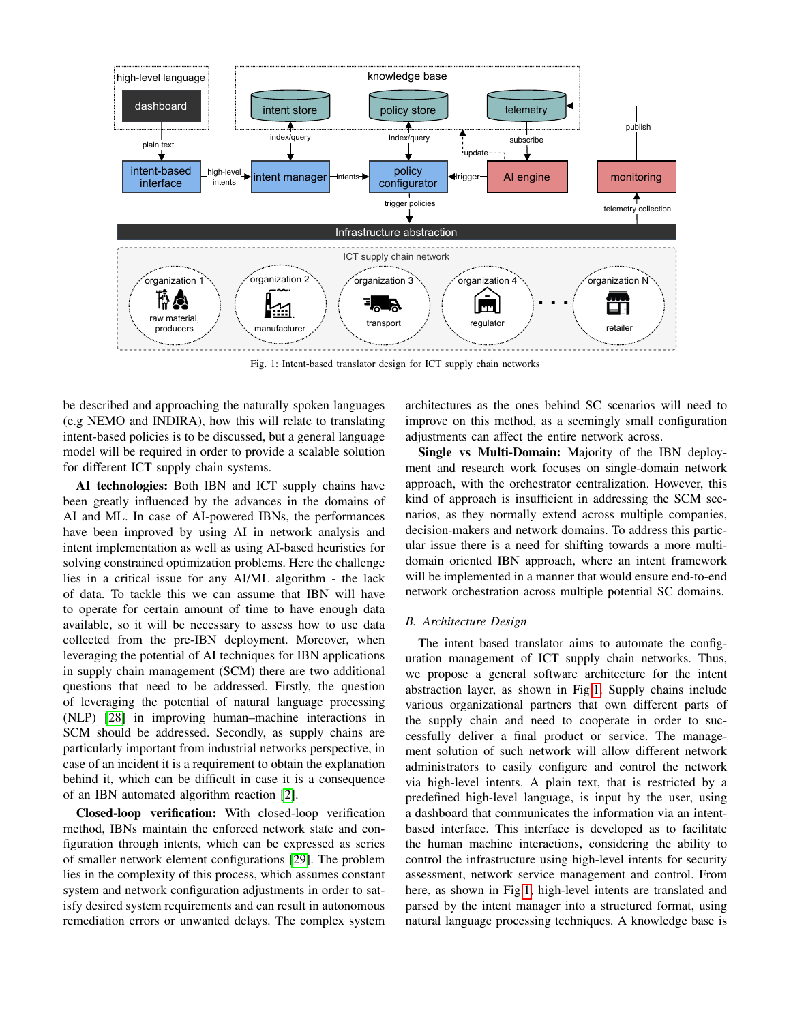<span id="page-3-0"></span>

Fig. 1: Intent-based translator design for ICT supply chain networks

be described and approaching the naturally spoken languages (e.g NEMO and INDIRA), how this will relate to translating intent-based policies is to be discussed, but a general language model will be required in order to provide a scalable solution for different ICT supply chain systems.

AI technologies: Both IBN and ICT supply chains have been greatly influenced by the advances in the domains of AI and ML. In case of AI-powered IBNs, the performances have been improved by using AI in network analysis and intent implementation as well as using AI-based heuristics for solving constrained optimization problems. Here the challenge lies in a critical issue for any AI/ML algorithm - the lack of data. To tackle this we can assume that IBN will have to operate for certain amount of time to have enough data available, so it will be necessary to assess how to use data collected from the pre-IBN deployment. Moreover, when leveraging the potential of AI techniques for IBN applications in supply chain management (SCM) there are two additional questions that need to be addressed. Firstly, the question of leveraging the potential of natural language processing (NLP) [\[28\]](#page-5-27) in improving human–machine interactions in SCM should be addressed. Secondly, as supply chains are particularly important from industrial networks perspective, in case of an incident it is a requirement to obtain the explanation behind it, which can be difficult in case it is a consequence of an IBN automated algorithm reaction [\[2\]](#page-5-1).

Closed-loop verification: With closed-loop verification method, IBNs maintain the enforced network state and configuration through intents, which can be expressed as series of smaller network element configurations [\[29\]](#page-5-28). The problem lies in the complexity of this process, which assumes constant system and network configuration adjustments in order to satisfy desired system requirements and can result in autonomous remediation errors or unwanted delays. The complex system

architectures as the ones behind SC scenarios will need to improve on this method, as a seemingly small configuration adjustments can affect the entire network across.

Single vs Multi-Domain: Majority of the IBN deployment and research work focuses on single-domain network approach, with the orchestrator centralization. However, this kind of approach is insufficient in addressing the SCM scenarios, as they normally extend across multiple companies, decision-makers and network domains. To address this particular issue there is a need for shifting towards a more multidomain oriented IBN approach, where an intent framework will be implemented in a manner that would ensure end-to-end network orchestration across multiple potential SC domains.

## *B. Architecture Design*

The intent based translator aims to automate the configuration management of ICT supply chain networks. Thus, we propose a general software architecture for the intent abstraction layer, as shown in Fig[.1.](#page-3-0) Supply chains include various organizational partners that own different parts of the supply chain and need to cooperate in order to successfully deliver a final product or service. The management solution of such network will allow different network administrators to easily configure and control the network via high-level intents. A plain text, that is restricted by a predefined high-level language, is input by the user, using a dashboard that communicates the information via an intentbased interface. This interface is developed as to facilitate the human machine interactions, considering the ability to control the infrastructure using high-level intents for security assessment, network service management and control. From here, as shown in Fig[.1,](#page-3-0) high-level intents are translated and parsed by the intent manager into a structured format, using natural language processing techniques. A knowledge base is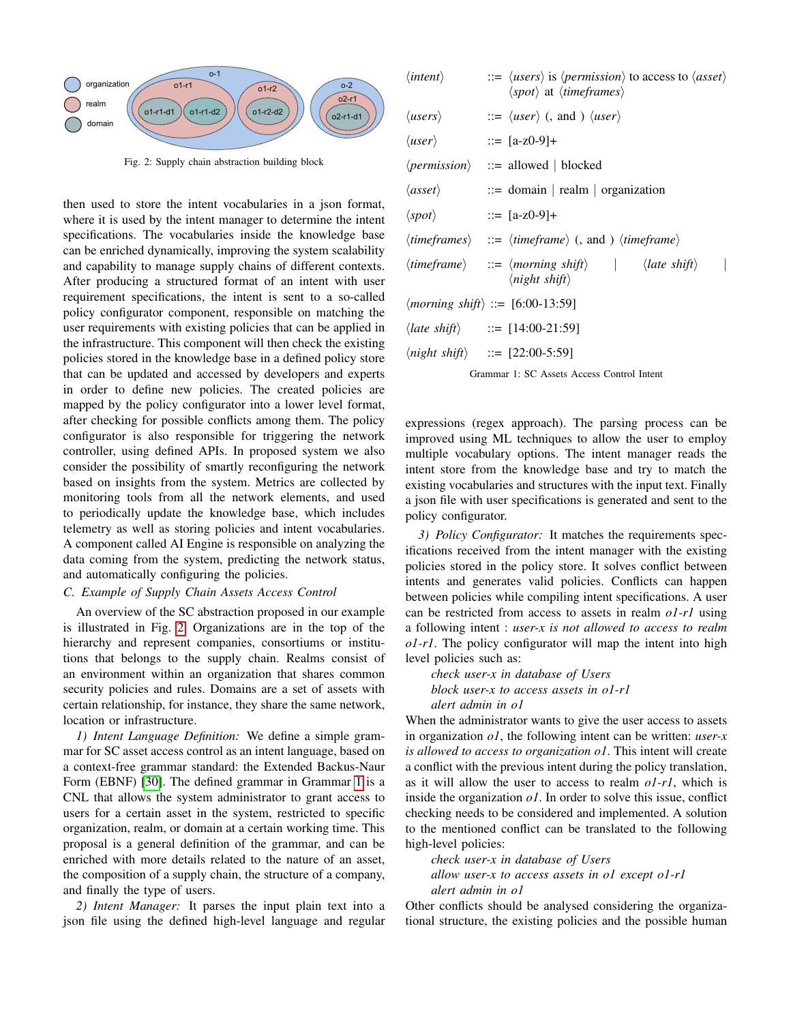<span id="page-4-0"></span>

Fig. 2: Supply chain abstraction building block

then used to store the intent vocabularies in a json format, where it is used by the intent manager to determine the intent specifications. The vocabularies inside the knowledge base can be enriched dynamically, improving the system scalability and capability to manage supply chains of different contexts. After producing a structured format of an intent with user requirement specifications, the intent is sent to a so-called policy configurator component, responsible on matching the user requirements with existing policies that can be applied in the infrastructure. This component will then check the existing policies stored in the knowledge base in a defined policy store that can be updated and accessed by developers and experts in order to define new policies. The created policies are mapped by the policy configurator into a lower level format, after checking for possible conflicts among them. The policy configurator is also responsible for triggering the network controller, using defined APIs. In proposed system we also consider the possibility of smartly reconfiguring the network based on insights from the system. Metrics are collected by monitoring tools from all the network elements, and used to periodically update the knowledge base, which includes telemetry as well as storing policies and intent vocabularies. A component called AI Engine is responsible on analyzing the data coming from the system, predicting the network status, and automatically configuring the policies.

### *C. Example of Supply Chain Assets Access Control*

An overview of the SC abstraction proposed in our example is illustrated in Fig. [2.](#page-4-0) Organizations are in the top of the hierarchy and represent companies, consortiums or institutions that belongs to the supply chain. Realms consist of an environment within an organization that shares common security policies and rules. Domains are a set of assets with certain relationship, for instance, they share the same network, location or infrastructure.

*1) Intent Language Definition:* We define a simple grammar for SC asset access control as an intent language, based on a context-free grammar standard: the Extended Backus-Naur Form (EBNF) [\[30\]](#page-5-29). The defined grammar in Grammar [1](#page-4-1) is a CNL that allows the system administrator to grant access to users for a certain asset in the system, restricted to specific organization, realm, or domain at a certain working time. This proposal is a general definition of the grammar, and can be enriched with more details related to the nature of an asset, the composition of a supply chain, the structure of a company, and finally the type of users.

*2) Intent Manager:* It parses the input plain text into a json file using the defined high-level language and regular

<span id="page-4-1"></span>

| $\langle$ <i>intent</i> $\rangle$ | $\Rightarrow$ $\langle users \rangle$ is $\langle permission \rangle$ to access to $\langle asset \rangle$<br>$\langle spot\rangle$ at $\langle timeframes\rangle$  |
|-----------------------------------|---------------------------------------------------------------------------------------------------------------------------------------------------------------------|
| $\langle users \rangle$           | $\Rightarrow$ $\langle user \rangle$ (, and ) $\langle user \rangle$                                                                                                |
| $\langle user \rangle$            | $ ::=$ [a-z0-9]+                                                                                                                                                    |
|                                   | $\langle permission \rangle$ ::= allowed   blocked                                                                                                                  |
|                                   | $\langle asset \rangle$ ::= domain   realm   organization                                                                                                           |
| $\langle spot\rangle$             | $ ::=$ [a-z0-9]+                                                                                                                                                    |
|                                   | $\langle timeframes \rangle$ ::= $\langle timeframe \rangle$ (, and ) $\langle timeframe \rangle$                                                                   |
|                                   | $\langle$ <i>timeframe</i> $\rangle$ ::= $\langle$ <i>morning shift</i> $\rangle$   $\langle$ <i>late shift</i> $\rangle$<br>$\langle$ <i>night shift</i> $\rangle$ |
|                                   | $\langle$ <i>morning shift</i> $\rangle$ ::= [6:00-13:59]                                                                                                           |
|                                   | $\langle late \, shift \rangle$ ::= [14:00-21:59]                                                                                                                   |
|                                   | $\langle night\ shift\rangle$ ::= [22:00-5:59]                                                                                                                      |
|                                   |                                                                                                                                                                     |

Grammar 1: SC Assets Access Control Intent

expressions (regex approach). The parsing process can be improved using ML techniques to allow the user to employ multiple vocabulary options. The intent manager reads the intent store from the knowledge base and try to match the existing vocabularies and structures with the input text. Finally a json file with user specifications is generated and sent to the policy configurator.

*3) Policy Configurator:* It matches the requirements specifications received from the intent manager with the existing policies stored in the policy store. It solves conflict between intents and generates valid policies. Conflicts can happen between policies while compiling intent specifications. A user can be restricted from access to assets in realm *o1-r1* using a following intent : *user-x is not allowed to access to realm o1-r1*. The policy configurator will map the intent into high level policies such as:

*check user-x in database of Users block user-x to access assets in o1-r1 alert admin in o1*

When the administrator wants to give the user access to assets in organization *o1*, the following intent can be written: *user-x is allowed to access to organization o1*. This intent will create a conflict with the previous intent during the policy translation, as it will allow the user to access to realm *o1-r1*, which is inside the organization *o1*. In order to solve this issue, conflict checking needs to be considered and implemented. A solution to the mentioned conflict can be translated to the following high-level policies:

*check user-x in database of Users allow user-x to access assets in o1 except o1-r1 alert admin in o1*

Other conflicts should be analysed considering the organizational structure, the existing policies and the possible human